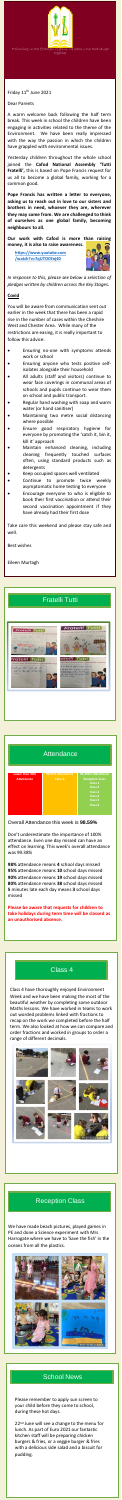# Class 4

Class 4 have thoroughly enjoyed Environment Week and we have been making the most of the beautiful weather by completing some outdoor Maths lessons. We have worked in teams to work



Love and Laugh together

Friday 11<sup>th</sup> June 2021

out worded problems linked with fractions to recap on the work we completed before the half term. We also looked at how we can compare and order fractions and worked in groups to order a range of different decimals.



Dear Parents

A warm welcome back following the half term break. This week in school the children have been engaging in activities related to the theme of the Environment. We have been really impressed with the way the passion in which the children have grappled with environmental issues.

- Ensuring no-one with symptoms attends work or school
- Ensuring anyone who tests positive selfisolates alongside their household
- All adults (staff and visitors) continue to wear face coverings in communal areas of schools and pupils continue to wear them on school and public transport.
- Regular hand washing with soap and warm water (or hand sanitiser)
- Maintaining two metre social distancing where possible
- Ensure good respiratory hygiene for everyone by promoting the 'catch it, bin it, kill it' approach
- Maintain enhanced cleaning, including cleaning frequently touched surfaces often, using standard products such as detergents
- Keep occupied spaces well ventilated
- Continue to promote twice weekly asymptomatic home testing to everyone
- Encourage everyone to who is eligible to book their first vaccination or attend their ination appointm

P *pledges written by children across the Key Stages. In response to this, please see below a selection of*

Yesterday children throughout the whole school joined the **Cafod National Assembly 'Tutti Fratelli',** this is based on Pope Francis request for us all to become a global family, working for a common good.

**Pope Francis has written a letter to everyone, asking us to reach out in love to our sisters and brothers in need, whoever they are, wherever they may come from. We are challenged to think of ourselves as one global family, becoming neighbours to all.**

**Our work with Cafod is more than raising money, it is also to raise awareness.**

#### **Covid**

You will be aware from communication sent out earlier in the week that there has been a rapid rise in the number of cases within the Cheshire West and Chester Area. While many of the restrictions are easing, it is really important to follow this advice:

22<sup>nd</sup> June will see a change to the menu for lunch. As part of Euro 2021 our fantastic kitchen staff will be preparing chicken burgers & fries, or a veggie burger & fries with a delicious side salad and a biscuit for pudding.

have already had their first dose

Take care this weekend and please stay safe and well.

Best wishes

Eileen Murtagh

### Reception Class

We have made beach pictures, played games in PE and done a Science experiment with Mrs Harrogate where we have to 'Save the fish' in the oceans from all the plastics.



**[https://www.youtube.com](https://www.youtube.com/watch?v=7qUTOC9nj40) /watch?v=7qUTOC9nj40**



# Fratelli Tutti



### **Attendance**



Overall Attendance this week is **98.59%**

Don't underestimate the importance of 100% attendance. Even one day missed can have an effect on learning. This week's overall attendance was 99.38%

**98%** attendance means **4** school days missed **95%** attendance means **10** school days missed **90%** attendance means **19** school days missed **80%** attendance means **38** school days missed **5** minutes late each day means **3** school days missed

**Please be aware that requests for children to take holidays during term time will be classed as an unauthorised absence.**

### School News

Please remember to apply sun screen to your child before they come to school, during these hot days.